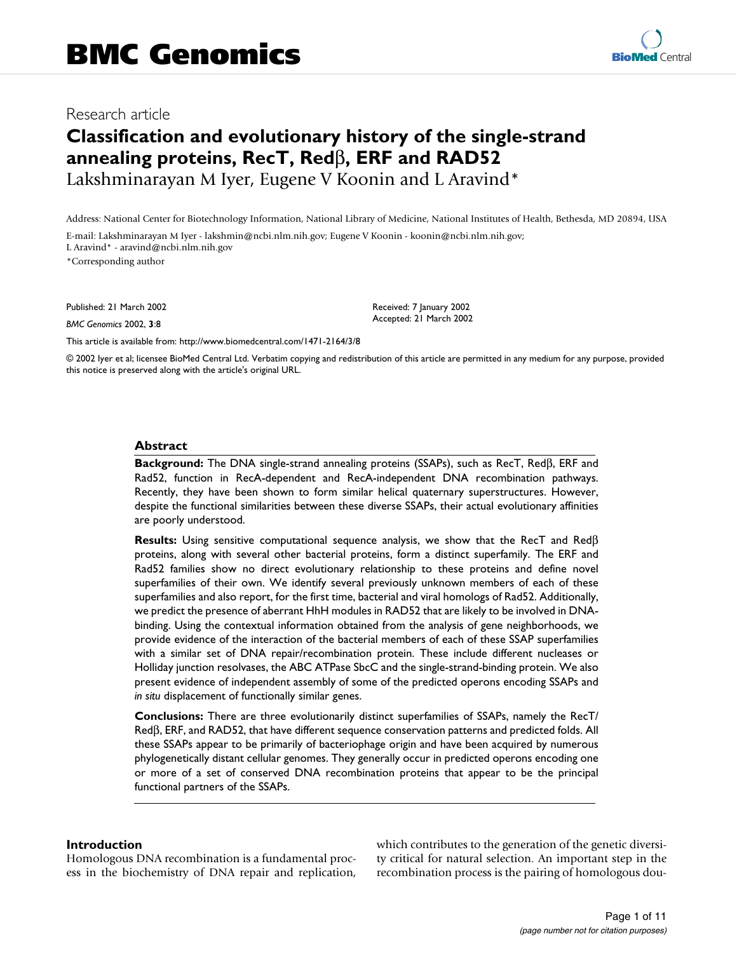# Research article

# **Classification and evolutionary history of the single-strand annealing proteins, RecT, Red**β**, ERF and RAD52**

Lakshminarayan M Iyer, Eugene V Koonin and L Aravind\*

Address: National Center for Biotechnology Information, National Library of Medicine, National Institutes of Health, Bethesda, MD 20894, USA

E-mail: Lakshminarayan M Iyer - lakshmin@ncbi.nlm.nih.gov; Eugene V Koonin - koonin@ncbi.nlm.nih.gov;

L Aravind\* - aravind@ncbi.nlm.nih.gov

\*Corresponding author

Published: 21 March 2002

*BMC Genomics* 2002, **3**:8

Received: 7 January 2002 Accepted: 21 March 2002

[This article is available from: http://www.biomedcentral.com/1471-2164/3/8](http://www.biomedcentral.com/1471-2164/3/8)

© 2002 Iyer et al; licensee BioMed Central Ltd. Verbatim copying and redistribution of this article are permitted in any medium for any purpose, provided this notice is preserved along with the article's original URL.

#### **Abstract**

**Background:** The DNA single-strand annealing proteins (SSAPs), such as RecT, Redβ, ERF and Rad52, function in RecA-dependent and RecA-independent DNA recombination pathways. Recently, they have been shown to form similar helical quaternary superstructures. However, despite the functional similarities between these diverse SSAPs, their actual evolutionary affinities are poorly understood.

**Results:** Using sensitive computational sequence analysis, we show that the RecT and Redβ proteins, along with several other bacterial proteins, form a distinct superfamily. The ERF and Rad52 families show no direct evolutionary relationship to these proteins and define novel superfamilies of their own. We identify several previously unknown members of each of these superfamilies and also report, for the first time, bacterial and viral homologs of Rad52. Additionally, we predict the presence of aberrant HhH modules in RAD52 that are likely to be involved in DNAbinding. Using the contextual information obtained from the analysis of gene neighborhoods, we provide evidence of the interaction of the bacterial members of each of these SSAP superfamilies with a similar set of DNA repair/recombination protein. These include different nucleases or Holliday junction resolvases, the ABC ATPase SbcC and the single-strand-binding protein. We also present evidence of independent assembly of some of the predicted operons encoding SSAPs and *in situ* displacement of functionally similar genes.

**Conclusions:** There are three evolutionarily distinct superfamilies of SSAPs, namely the RecT/ Redβ, ERF, and RAD52, that have different sequence conservation patterns and predicted folds. All these SSAPs appear to be primarily of bacteriophage origin and have been acquired by numerous phylogenetically distant cellular genomes. They generally occur in predicted operons encoding one or more of a set of conserved DNA recombination proteins that appear to be the principal functional partners of the SSAPs.

#### **Introduction**

Homologous DNA recombination is a fundamental process in the biochemistry of DNA repair and replication, which contributes to the generation of the genetic diversity critical for natural selection. An important step in the recombination process is the pairing of homologous dou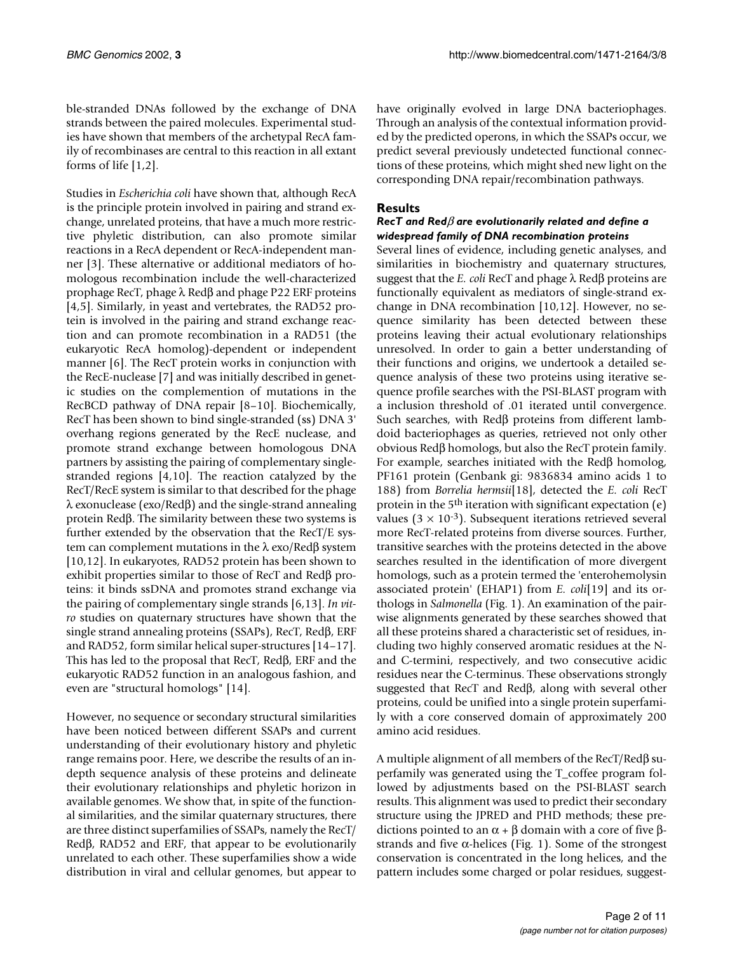ble-stranded DNAs followed by the exchange of DNA strands between the paired molecules. Experimental studies have shown that members of the archetypal RecA family of recombinases are central to this reaction in all extant forms of life [1,2].

Studies in *Escherichia coli* have shown that, although RecA is the principle protein involved in pairing and strand exchange, unrelated proteins, that have a much more restrictive phyletic distribution, can also promote similar reactions in a RecA dependent or RecA-independent manner [3]. These alternative or additional mediators of homologous recombination include the well-characterized prophage RecT, phage λ Redβ and phage P22 ERF proteins [4,5]. Similarly, in yeast and vertebrates, the RAD52 protein is involved in the pairing and strand exchange reaction and can promote recombination in a RAD51 (the eukaryotic RecA homolog)-dependent or independent manner [6]. The RecT protein works in conjunction with the RecE-nuclease [7] and was initially described in genetic studies on the complemention of mutations in the RecBCD pathway of DNA repair [8–10]. Biochemically, RecT has been shown to bind single-stranded (ss) DNA 3' overhang regions generated by the RecE nuclease, and promote strand exchange between homologous DNA partners by assisting the pairing of complementary singlestranded regions [4,10]. The reaction catalyzed by the RecT/RecE system is similar to that described for the phage λ exonuclease (exo/Redβ) and the single-strand annealing protein Redβ. The similarity between these two systems is further extended by the observation that the RecT/E system can complement mutations in the λ exo/Redβ system [10,12]. In eukaryotes, RAD52 protein has been shown to exhibit properties similar to those of RecT and Redβ proteins: it binds ssDNA and promotes strand exchange via the pairing of complementary single strands [6,13]. *In vitro* studies on quaternary structures have shown that the single strand annealing proteins (SSAPs), RecT, Redβ, ERF and RAD52, form similar helical super-structures [14–17]. This has led to the proposal that RecT, Redβ, ERF and the eukaryotic RAD52 function in an analogous fashion, and even are "structural homologs" [14].

However, no sequence or secondary structural similarities have been noticed between different SSAPs and current understanding of their evolutionary history and phyletic range remains poor. Here, we describe the results of an indepth sequence analysis of these proteins and delineate their evolutionary relationships and phyletic horizon in available genomes. We show that, in spite of the functional similarities, and the similar quaternary structures, there are three distinct superfamilies of SSAPs, namely the RecT/ Redβ, RAD52 and ERF, that appear to be evolutionarily unrelated to each other. These superfamilies show a wide distribution in viral and cellular genomes, but appear to

have originally evolved in large DNA bacteriophages. Through an analysis of the contextual information provided by the predicted operons, in which the SSAPs occur, we predict several previously undetected functional connections of these proteins, which might shed new light on the corresponding DNA repair/recombination pathways.

# **Results**

# *RecT and Red*β *are evolutionarily related and define a widespread family of DNA recombination proteins*

Several lines of evidence, including genetic analyses, and similarities in biochemistry and quaternary structures, suggest that the *E. coli* RecT and phage λ Redβ proteins are functionally equivalent as mediators of single-strand exchange in DNA recombination [10,12]. However, no sequence similarity has been detected between these proteins leaving their actual evolutionary relationships unresolved. In order to gain a better understanding of their functions and origins, we undertook a detailed sequence analysis of these two proteins using iterative sequence profile searches with the PSI-BLAST program with a inclusion threshold of .01 iterated until convergence. Such searches, with Redβ proteins from different lambdoid bacteriophages as queries, retrieved not only other obvious Redβ homologs, but also the RecT protein family. For example, searches initiated with the Redβ homolog, PF161 protein (Genbank gi: 9836834 amino acids 1 to 188) from *Borrelia hermsii*[18], detected the *E. coli* RecT protein in the 5th iteration with significant expectation (e) values ( $3 \times 10^{-3}$ ). Subsequent iterations retrieved several more RecT-related proteins from diverse sources. Further, transitive searches with the proteins detected in the above searches resulted in the identification of more divergent homologs, such as a protein termed the 'enterohemolysin associated protein' (EHAP1) from *E. coli*[19] and its orthologs in *Salmonella* (Fig. [1\)](#page-2-0). An examination of the pairwise alignments generated by these searches showed that all these proteins shared a characteristic set of residues, including two highly conserved aromatic residues at the Nand C-termini, respectively, and two consecutive acidic residues near the C-terminus. These observations strongly suggested that RecT and Redβ, along with several other proteins, could be unified into a single protein superfamily with a core conserved domain of approximately 200 amino acid residues.

A multiple alignment of all members of the RecT/Redβ superfamily was generated using the T\_coffee program followed by adjustments based on the PSI-BLAST search results. This alignment was used to predict their secondary structure using the JPRED and PHD methods; these predictions pointed to an  $\alpha$  + β domain with a core of five βstrands and five  $\alpha$ -helices (Fig. [1\)](#page-2-0). Some of the strongest conservation is concentrated in the long helices, and the pattern includes some charged or polar residues, suggest-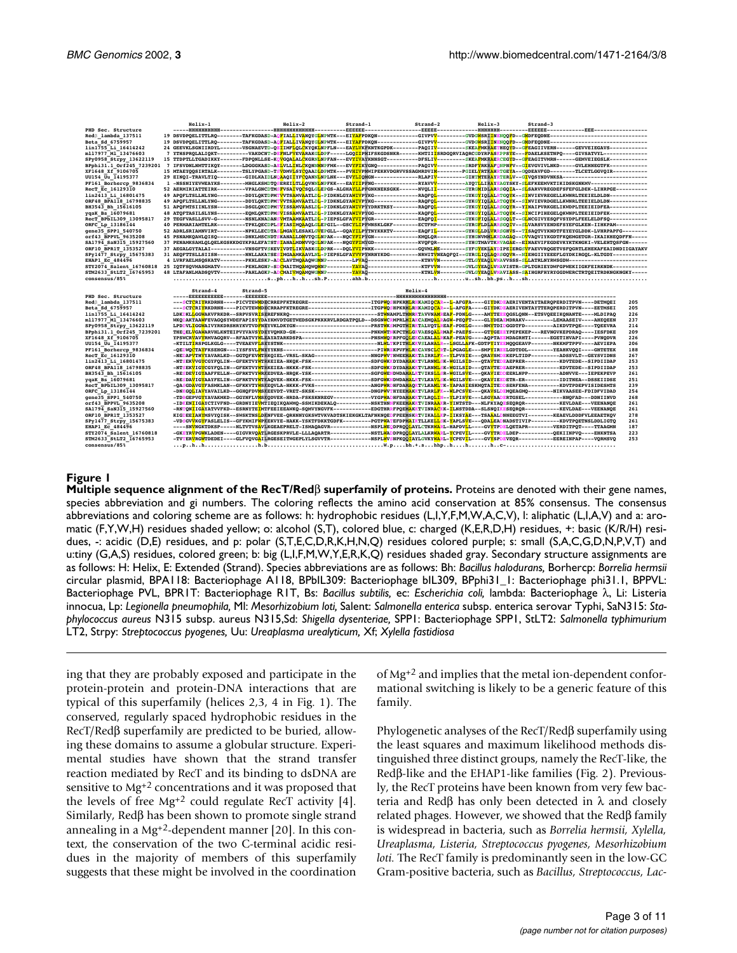|                                         | $H$ elix-1 | $He$ lix-2 | Strand-1 | Strand-2   | Helix-3 | Strand-3                                                                                                                                                                                                                                                              |     |
|-----------------------------------------|------------|------------|----------|------------|---------|-----------------------------------------------------------------------------------------------------------------------------------------------------------------------------------------------------------------------------------------------------------------------|-----|
| PHD Sec. Structure                      |            |            |          |            |         |                                                                                                                                                                                                                                                                       |     |
| Redß lambda 137511                      |            |            |          |            |         |                                                                                                                                                                                                                                                                       |     |
| Beta Sd 6759957                         |            |            |          |            |         |                                                                                                                                                                                                                                                                       |     |
| lin1755 Li 16414242                     |            |            |          |            |         | 24 GEEVKLSGNIIRDYL-------VSGNAEVTD-OE <mark>T</mark> IMF <mark>LOLC</mark> KYOK <mark>L</mark> NPFLN---EA <mark>YLV</mark> KFKNTKGPDK--------PAOII <mark>V</mark> --------SKEAFMKRAETHEOYD--GFEAGIIVERN------GEVVEIEGAVS----------                                    |     |
| m117977 M1 13476603                     |            |            |          |            |         | 7 YTHSPROLALIOKT----------VAKDCNT-DE <mark>FNLFVEVA</mark> RAKG <mark>L</mark> DPF-----LGO <mark>IIPM</mark> IFSKGDSNKR------KMTII <mark>I</mark> SRDGORVIAORCGDYRP <mark>A</mark> SKPPSYE---FDAELKSETNPO----GIVSATVYL-------------                                   |     |
| SPy0958 Strpy 13622119                  |            |            |          |            |         | 15 TTDPTLLTGADIKKY-------FDPONLLSE-KO <mark>V</mark> GOAL <mark>ALC</mark> KGRN <mark>L</mark> NPFAN---EVYIVAYKNNSGT----------DFSLIV-------SKEAFMKRAERCEGYD--G <mark>F</mark> EAGITVMRN------GEMVEIEGSLK----------                                                    |     |
|                                         |            |            |          |            |         |                                                                                                                                                                                                                                                                       |     |
| XF1648 Xf 9106705                       |            |            |          |            |         | 15 MTAEYOOSIRTALK--------TSLYPGASD-TS <mark>VDMVLSYC</mark> OAAD <mark>L</mark> DPMTK---PV <mark>HIV</mark> PMWIPEKKVDGRVVSSAGMRDVI <mark>M</mark> --------PGIEL <mark>Y</mark> RTKAHRTGEYA--GODEAVFGD---------TLCETLGGVOIR----------                                 |     |
| UU154 Uu 14195377                       |            |            |          |            |         | 29 EINOI-TRAVLTIO---------GIDLKAIDLNO <mark>A</mark> AOI <mark>I</mark> YFCOANN <mark>L</mark> NPLNK---EV <mark>YLI</mark> OMGN------------RLAPIV-------GIHTMTERAYRTERLV--G <mark>I</mark> VOSYNDVNKSA----------------------------------                              |     |
| PF161 Borhercp 9836834                  |            |            |          |            |         | 1 -NSSNIYEVWEAYKS---------MHGLKSMDTOSEREILTLLOVNNLNPFKK---EA <mark>YTIPF</mark> NG------------RYAVVV--------AYOTLLIRAYEAGYSKY-SLEFKEEMVKTIKIDSKGNKMV------------------                                                                                                |     |
| RecT Ec 16129310                        |            |            |          |            |         | 52 AERMIRIATTEIRK---------VPALGNCDTMS <mark>F</mark> VSA <mark>I</mark> VOCSOLG <mark>L</mark> EPGS-ALGHA <mark>YLL</mark> PFGNKNEKSGKK------NVOLI <mark>I</mark> ---------GYRGMIDLARRSGO <mark>T</mark> A--S <mark>L</mark> SARVVREGDEFSFEFGLDEK-LIHRPGE----------   |     |
| lin2413 Li 16801475                     |            |            |          |            |         | 49 APOFLTSLLNLYNG---------DDYLOKTDPMT <mark>VVTSAMVAATLDL</mark> -PIDKNLGYA <mark>WIVPY</mark> KG------------RAOFO <mark>L</mark> ---------GYKGYIOLALRTGOYK--S <mark>I</mark> NVIEVREGELLKWNRLTEEIELDLDN------------                                                  |     |
| ORF48 BPA118 16798835                   |            |            |          |            |         | 49 APOFLTSLLNLYNG---------DDYLOKTDPMT <mark>VVTSAMVAATLDL</mark> -PIDKNLGYA <mark>WIVPY</mark> KG------------RAOFO <mark>L</mark> ---------GYKGYIOLALRTGOYK--S <mark>I</mark> NVIEVRDGELLKWNRLTEEIELDLDN------------                                                  |     |
| BH3543 Bh 15616105                      |            |            |          |            |         | 51 APOFMTSIINLYSN---------DSGLOKCDPMT <mark>VISSAMVAASLDL</mark> -PIDKNLGYA <mark>WIVPY</mark> YDRKTKSY--------RAOFO <mark>L</mark> ---------GYKGYIOLALRSGOYR--YINAIPVRKGELIKWDPLTEEIEIDFEA-----------                                                                |     |
| $\sqrt{9aK}$ Bs $16079681$              |            |            |          |            |         | 48 ATOFTASILSLYNS---------EOMLOKTDPMS <mark>VISSAMVAATLDL</mark> -PIDKNLGYA <mark>WIVPYGG-------------KAOFOL</mark> ---------GYKG <mark>Y</mark> IGLALRTGO <mark>Y</mark> K--S <mark>I</mark> NCIPIHEGELOKWNPLTEEIEIDFEK------------                                  |     |
| RecT BPbIL309 13095817                  |            |            |          |            |         | 29 TEGFVASLLSVV-G---------NSNLKNADANS <mark>VMTAAMKAATLDL</mark> -PIEPSLGFA <mark>YVIPY</mark> GR------------EAQFQ <mark>I</mark> --------GYKG <mark>FIQLALRSGQL</mark> T--G <mark>L</mark> NCGIVYESQFVSYDPLFEELELDFSQ------------                                    |     |
| ORFC Lp 13186144                        |            |            |          |            |         | 40 PERMARIAMTELRK---------TPKLOECDPLS <mark>F</mark> IAS <mark>IMOA</mark> AOLG <mark>L</mark> EPGIL--GSC <mark>YLI</mark> PFWNSKLGKF--------ECTFMP--------GYRGFLDLARRSGO <mark>I</mark> V--S <mark>L</mark> VARSVYENDEFSYEFGLKEN-IIHKPAM----------                   |     |
| gene35 SPP1 540750                      |            |            |          |            |         | 52 ADRLSRIAMNVIRT---------NPKLLECDTAS <mark>L</mark> MGA <mark>V</mark> LESAKLGVEPGLL--GOAYILPYTNYKKKTV--------EAOFI <mark>L</mark> --------GYKG <mark>L</mark> LDLVRRSGHVS--T <mark>I</mark> SAOTVYKNDTFEYEYGLDDK-LVHRPAPFG--------                                  |     |
| $orf43$ BPPVL 9635208                   |            |            |          |            |         | 45 PSNAMKOAMLOISO---------DNKLMSCNDTSKANA <mark>L</mark> LDMVTOG <mark>L</mark> NPAK---NOCYFIPYGN-------------KMOLOR--------SYHGNVMMLKRDAGAO--D <mark>V</mark> VAOVIYKGDTFKOEMGETGR-IKAIKHEODFFN-----                                                                 |     |
| SA1794 SaN315 15927560                  |            |            |          |            |         | 37 PENAMKSAMLOLOELKGSKKDGYKPALEFATSTS <mark>T</mark> ANA <mark>L</mark> MDMVVOGLNPAK---NOGYFIMYGD------------KVOFOR--------SYHGTMAVTKRVAGAE--E <mark>T</mark> NAEVIFEGDEVKYKTKNGKI-VELEHTOSFGN------                                                                  |     |
| ORF10 BPR1T 1353527                     |            |            |          |            |         | 37 AEGALGYTALAI-----------VNSGFTVSKEV <mark>I</mark> VDT <mark>L</mark> IKVASKG <mark>L</mark> DPRK---DOL <mark>YVIP</mark> NKK------------GOVML <mark>M</mark> E--------SYFG <mark>YEKLAYDIPEI</mark> ERGSVFAEVVROGETVSFOGRTLEHEKAFEAIDNDIIGAYAKV                    |     |
| SPy1477 Strpy 15675383                  |            |            |          |            |         | 31 AEQFTTSLLSIISN----------NNLLAKATSES <mark>I</mark> MGA <mark>A</mark> MKAAVLN <mark>L</mark> -PIEPSLGFA <mark>YVV</mark> PWNRNYKDG---------NRWITVNEAQFQI--GYRG <mark>LIQLA</mark> QRSGQVR--N <mark>I</mark> EHGIIYEEEFLGYDKIRGQL-KLTGDY-----------                 |     |
| <b>EHAP1 Ec 484496</b>                  |            |            |          |            |         | 4 LVRFAELMSQSKATV---------PKHLESKP-AD <mark>C</mark> LAVTMQ <mark>A</mark> AQWG <mark>M</mark> NP-------- <u>-LPVAQ</u> --------------KTHV <mark>V</mark> N--------GTLG <mark>Y</mark> EAQLVNAVVSSS-S <mark>L</mark> LATRLNYRWSGDW----------------------------        |     |
| STY2074 Salent 16760818                 |            |            |          |            |         | 25 IOTFSOVMASGMATV--------PEHLRGNP-SD <mark>C</mark> MAITMO <mark>A</mark> MOWOMNP---------YAVAO---------------KTFVVN--------GVLGYEAOLVNAVISTR-GPLTGRIEYDWFGPWEKIIGKFEIRKNDK----------                                                                                |     |
| STM2633 StLT2 16765953                  |            |            |          |            |         | 48 LTAFANLMADSOVTV--------PAHLAGKP-AD <mark>C</mark> MAIVMOAMOW@MP---------YAVAO--------------------KTHLVN-------GVLGYEAOLVNAVIASS-SAIHGRFHYRYGGDWERCTRTOEITRDKNGKNGKY-----                                                                                           |     |
| consensus/85%                           |            |            |          |            |         |                                                                                                                                                                                                                                                                       |     |
|                                         |            |            |          |            |         |                                                                                                                                                                                                                                                                       |     |
|                                         |            |            |          |            |         |                                                                                                                                                                                                                                                                       |     |
|                                         |            |            |          |            |         |                                                                                                                                                                                                                                                                       |     |
|                                         | Strand-4   | Strand-5   |          | $He$ lix-4 |         |                                                                                                                                                                                                                                                                       |     |
| PHD Sec. Structure                      |            |            |          |            |         |                                                                                                                                                                                                                                                                       |     |
| Redß lambda 137511                      |            |            |          |            |         | ---SCT <mark>C</mark> RIYRKDRNH----PICVTEW <mark>M</mark> DECRREPFKTREGRE------------------ITGPWOSHPKRMLRHKAMIO <mark>CA</mark> R--L-AFG <mark>F</mark> A----GIYDKDEAERIVENTAYTAEROPERDITPVN----DETMOEI                                                               | 205 |
| Beta Sd 6759957                         |            |            |          |            |         | ---SCT <mark>C</mark> RIYRKDRNH----PICVTEWMDECRRAPFKTREGRE------------------ITGP <mark>W</mark> OSHPKRMLRHKAMIO <mark>CA</mark> R--L-AFG <mark>F</mark> A----GIYDKDEAERIVENTAYTTEROPERDITPVN----EETMSEI                                                               | 205 |
| lin1755 Li 16414242                     |            |            |          |            |         | LDKDKL <mark>LGGW</mark> AKVFRKDR--SRPVSVR <mark>I</mark> SEREFNKRO------------------------STWNAMPLTMMRKTAVVN <mark>AMREAF</mark> -PDN <mark>L</mark> G----AMYTEEEOGSLONN--ETSVOEEIKONANTE----MLDIPAO                                                                 | 226 |
| m117977 M1 13476603                     |            |            |          |            |         | WKQDAKTAA <mark>W</mark> FEVAGQSYWDEFAPISY <mark>YDA</mark> YKWVDTGETWEDSGKPKKKRVLRDGATPQLD--DSGN <mark>W</mark> CRMPRLM <mark>IA</mark> KCAEMQ <mark>AL</mark> RAG <mark>W</mark> -PEQ <mark>F</mark> T----GL <mark>Y</mark> DEAEMDRAKV--------LEMAASEIV----AHEQEEN  | 237 |
| SPy0958 Strpy 13622119                  |            |            |          |            |         | LPDDVL <mark>I</mark> GGWAIVYRKDRSHRYKVTVD <mark>F</mark> NEYVKLDKYGN-------------------------RSTWKSMPGTMIRKTALVOTLREAF-PDELG----NMYTDIDGGDTFD--------AIKDVTPOE----TOEEVRA                                                                                            | 214 |
| BPphi31.1 Orf245 7239201                |            |            |          |            |         | THEOEL <mark>VGAW</mark> ARVHLKNTEIPVYVAVS <mark>Y</mark> DEYVOMKD-GH----------------------PNKMWTNKPCTMLGKVAESO <mark>AL</mark> RMAF-PAEFS----GTYGEEEYPEPEKEP---REVNGVKEPDRAO----IESFDKE                                                                              | 209 |
| XF1648 Xf 9106705                       |            |            |          |            |         | YPSWCR <mark>VAVYRWVAGORV--RFAATVYWLEAYATARKDSPA-------------------PNSWWOKRPFGOLEKCAEALALRKAF-PEAVG----AOPTAEEMDAGRHTI------EGETIHVAPI----PVNODVR</mark>                                                                                                              | 226 |
| UU154 Uu 14195377                       |            |            |          |            |         | -KTILTIRSPGLKGLG----TVEAEVFLSEYSTNK----------------------------------NLWLTKPITMLKKVSLAHALR--LSGLLAFK-GDTPYIYEEMOOGEAVP-------NKKMFTPPV----AEVTEPA                                                                                                                     | 206 |
| PF161 Borhercp 9836834                  |            |            |          |            |         | -QEDWQ <mark>CTAY</mark> FKSEHGN---IYSFSVL <mark>F</mark> NEYYKNS-------------------------------PI <mark>W</mark> REKPVFMLRKCAVSCL <mark>C</mark> RT-LPGAG <mark>L</mark> E---SMP <mark>Y</mark> IREELGDTDDL--------YEAHKVQQI----GHTETEK                              | 188 |
| RecT Ec 16129310                        |            |            |          |            |         | -NEDAPVTHVYAVARLKD--GGTOFEVMTRKOIEL-VRSL-SKAG----------------NNGPWVTHWEEMAKKTAIRR <mark>LF</mark> K--YLPVSIE---ORAVSMDEKEPLTIDP---------ADSSVLT--GEYSVIDNS                                                                                                            | 267 |
| lin2413 Li 16801475                     |            |            |          |            |         | -NTSEK <mark>V</mark> VG <mark>Y</mark> CGYFQLIN--GFEKTVY <mark>W</mark> TRKEIEA-HKQK-FSK------------------SDFG <mark>W</mark> KKDYDAMAKKTVLRNMLSK-WGILSID---QTAVTEDEAEPRER-----------KDVTEDE--SIPDIIDAP                                                              | 253 |
| ORF48 BPA118 16798835                   |            |            |          |            |         | -NTSEKVIGYCGYFOLIN--GFEKTVYWTRKEIEA-HKKK-FSK-----------------SDFGWKKDYDAMAKKTVLRNMLSK-WGILSID---OTAVTEDEAEPRER-----------KDVTEDE--SIPDIIDAP                                                                                                                           | 253 |
| BH3543 Bh 15616105                      |            |            |          |            |         | -RESDE <mark>V</mark> IGYAAFFELLN--GFRKTVYWRKEDVEA-HROK-YSK-----------------SGFGWENDWDAMALKTVIKS <mark>LL</mark> SR-WGILSVE---OKAVIEDDEERLNPP----------ADNVVE---IEPEKPEVP                                                                                             | 261 |
| vgaK Bs 16079681                        |            |            |          |            |         | -RESDA <mark>V</mark> IGYAAYFELIN--GFRKTVYWTKAOVEK-HKKK-FSK-----------------SDFGWKNDWDAMALKTVLKA <mark>VL</mark> SK-WGILSVE---ÕKAVIEEDETR-ER-----------IDITNEA--DSSEIIDSE                                                                                             | 251 |
| RecT BPbIL309 13095817                  |            |            |          |            |         | -OASGD <mark>A</mark> VGYFASMKLAN--GFKKVTY <mark>W</mark> SKEOVLA-HKKK-FVKS-----------------ANGPWRDHFDAMAOKTVLKAMLTK-YAPAS <mark>I</mark> ESKMOTA <mark>I</mark> TEDDSERFENA----------KDVTPDEPVISIDESMTS                                                              | 239 |
| ORFC Lp 13186144                        |            |            |          |            |         | -DNKGQ <mark>L</mark> IAVYAVAILKD--GGHQFDV <mark>M</mark> SKEEVDT-VRET-SKSK----------------DNGPWVTHYEEMAKKTVLRR <mark>LF</mark> K--WLPCS <mark>V</mark> E---QKAVSLDEMQEAGMQ--------NKVAASEE-FDIDFVIDAD                                                                | 254 |
| gene35 SPP1 540750                      |            |            |          |            |         | -TDRGEPVGYYAVAKMKD--GGYNFLV <mark>MSK</mark> ODVEK-HRDA-FSKSKNREGV-----------VYGP <mark>W</mark> ADHFDAM <mark>A</mark> KKTVLRO <mark>LI</mark> N--YLPISVE---LSGVAADERTGSEL-----------HNOFAD---DDNIINVD                                                               | 268 |
| orf43 BPPVL 9635208                     |            |            |          |            |         | -IDKEN <mark>I</mark> IG <mark>A</mark> YCTIVFND--GRDNYIEVMTIEOIKOAWMO-SSMIKDEKALO----------NSKTHNNFKEEMAKKTVINRAAKR-YINTSTD---NLFKYAOESEOROR----------KEVLDAE---VEENANOE                                                                                             | 261 |
| $SA1794$ San315 15927560                |            |            |          |            |         | -RNTON <mark>I</mark> IGAYATVVFKD--ESRNYTE <mark>I</mark> MTFEEIEEAWKO-SOMVYNGVFK-----------EDGTHRRFPOEMAKKTVINRACKK- <mark>I</mark> LNSTDDA--SLSNOIKESEOROR-----------KEVLDAE---VEENANOE                                                                             | 261 |
| ORF10 BPR1T 1353527                     |            |            |          |            |         | KIGDEE <mark>IAHY</mark> MSVYOISK--SWSKTNS <mark>L</mark> DKNFVEE-ORHNNYGKSWTVKVADTSKIEKGKLTAFNKNOEDFPEEMSKRTVIKA <mark>LL</mark> KP-IIKSYAE---TSAAALDNNEEGTVI--------KEAEVLDDDFVLEEAETKOV                                                                            | 278 |
| SPv1477 Strpv 15675383                  |            |            |          |            |         | -VDSGV <mark>VKGY</mark> FASLELIS--GFYKMIF <mark>WPKEKVYE-HAKK-YSKTFDKKTGDFK---------PGTPWATEFDPMA</mark> IKTLLKE <mark>LL</mark> SK-YAPLSVE---ODA <mark>L</mark> EADNADSTIVIP---------KDVTPOETNSLDDLIGTO                                                             | 261 |
| EHAP1 EC 484496                         |            |            |          |            |         | ----SN <mark>V</mark> NGKTDKSP-----NLTVTVS <mark>A</mark> VLKGEAEPRELT-ISMAQAGVR------------NSPL <mark>WEQDPRQQL</mark> AYLCTKR <mark>WA</mark> RL-HAPDV <mark>L</mark> L----GV <mark>YTPDELQETAPR--------VERDITPQT----TTAAGMN</mark>                                 | 187 |
| STY2074 Salent 16760818                 |            |            |          |            |         | -GKEYR <mark>V</mark> PG <mark>W</mark> KLADEN----GIGVRVO <mark>A</mark> TLRGESKPRVLE-LLLAQARTR-------------SSTL <mark>W</mark> ADDPROOLAYLALKR <mark>WA</mark> RL-YCPEV <mark>I</mark> L----GV <mark>Y</mark> TRDELDEP----------QEKIINPVQ----EHKNTSA                 | 223 |
| STM2633 StLT2 16765953<br>consensus/85% |            |            |          |            |         | -TVTER <mark>V</mark> RG <mark>W</mark> TDEDEI----GLFVQVG <mark>A</mark> ILRGESE1TWGEPLYLSGVVTR--------------SPL <mark>W</mark> VSNPKQ <mark>Q</mark> IAYLGVKYW <mark>A</mark> RL-YCPEV <mark>I</mark> L----GV <mark>Y</mark> SPDEVEQR-----------EEREINPAP----VQRMSVQ | 253 |

<span id="page-2-0"></span>**Multiple sequence alignment of the RecT/Red**β **superfamily of proteins.** Proteins are denoted with their gene names, species abbreviation and gi numbers. The coloring reflects the amino acid conservation at 85% consensus. The consensus abbreviations and coloring scheme are as follows: h: hydrophobic residues (L,I,Y,F,M,W,A,C,V), l: aliphatic (L,I,A,V) and a: aromatic (F,Y,W,H) residues shaded yellow; o: alcohol (S,T), colored blue, c: charged (K,E,R,D,H) residues, +: basic (K/R/H) residues, -: acidic (D,E) residues, and p: polar (S,T,E,C,D,R,K,H,N,Q) residues colored purple; s: small (S,A,C,G,D,N,P,V,T) and u:tiny (G,A,S) residues, colored green; b: big (L,I,F,M,W,Y,E,R,K,Q) residues shaded gray. Secondary structure assignments are as follows: H: Helix, E: Extended (Strand). Species abbreviations are as follows: Bh: *Bacillus halodurans,* Borhercp: *Borrelia hermsii* circular plasmid, BPA118: Bacteriophage A118, BPbIL309: Bacteriophage bIL309, BPphi31\_1: Bacteriophage phi31.1, BPPVL: Bacteriophage PVL, BPR1T: Bacteriophage R1T, Bs: *Bacillus subtilis,* ec: *Escherichia coli,* lambda: Bacteriophage λ, Li: Listeria innocua, Lp: *Legionella pneumophila,* Ml: *Mesorhizobium loti,* Salent: *Salmonella enterica* subsp. enterica serovar Typhi, SaN315: *Staphylococcus aureus* N315 subsp. aureus N315,Sd: *Shigella dysenteriae,* SPP1: Bacteriophage SPP1, StLT2: *Salmonella typhimurium* LT2, Strpy: *Streptococcus pyogenes,* Uu: *Ureaplasma urealyticum,* Xf; *Xylella fastidiosa*

ing that they are probably exposed and participate in the protein-protein and protein-DNA interactions that are typical of this superfamily (helices 2,3, 4 in Fig. [1\)](#page-2-0). The conserved, regularly spaced hydrophobic residues in the RecT/Redβ superfamily are predicted to be buried, allowing these domains to assume a globular structure. Experimental studies have shown that the strand transfer reaction mediated by RecT and its binding to dsDNA are sensitive to Mg+2 concentrations and it was proposed that the levels of free  $Mg^{2}$  could regulate RecT activity [4]. Similarly, Redβ has been shown to promote single strand annealing in a Mg+2-dependent manner [20]. In this context, the conservation of the two C-terminal acidic residues in the majority of members of this superfamily suggests that these might be involved in the coordination of Mg+2 and implies that the metal ion-dependent conformational switching is likely to be a generic feature of this family.

Phylogenetic analyses of the RecT/Redβ superfamily using the least squares and maximum likelihood methods distinguished three distinct groups, namely the RecT-like, the Redβ-like and the EHAP1-like families (Fig. 2). Previously, the RecT proteins have been known from very few bacteria and Redβ has only been detected in λ and closely related phages. However, we showed that the Redβ family is widespread in bacteria, such as *Borrelia hermsii, Xylella, Ureaplasma, Listeria, Streptococcus pyogenes, Mesorhizobium loti.* The RecT family is predominantly seen in the low-GC Gram-positive bacteria, such as *Bacillus, Streptococcus, Lac-*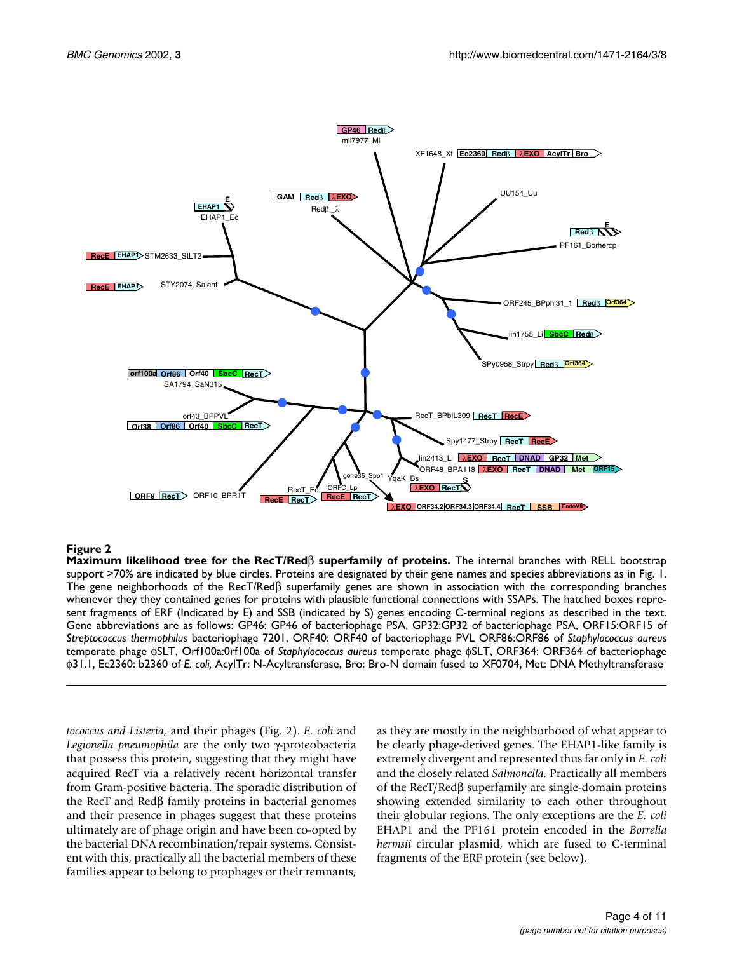

**Maximum likelihood tree for the RecT/Red**β **superfamily of proteins.** The internal branches with RELL bootstrap support >70% are indicated by blue circles. Proteins are designated by their gene names and species abbreviations as in Fig. [1.](#page-2-0) The gene neighborhoods of the RecT/Redβ superfamily genes are shown in association with the corresponding branches whenever they they contained genes for proteins with plausible functional connections with SSAPs. The hatched boxes represent fragments of ERF (Indicated by E) and SSB (indicated by S) genes encoding C-terminal regions as described in the text. Gene abbreviations are as follows: GP46: GP46 of bacteriophage PSA, GP32:GP32 of bacteriophage PSA, ORF15:ORF15 of *Streptococcus thermophilus* bacteriophage 7201, ORF40: ORF40 of bacteriophage PVL ORF86:ORF86 of *Staphylococcus aureus* temperate phage φSLT, Orf100a:0rf100a of *Staphylococcus aureus* temperate phage φSLT, ORF364: ORF364 of bacteriophage φ31.1, Ec2360: b2360 of *E. coli,* AcylTr: N-Acyltransferase, Bro: Bro-N domain fused to XF0704, Met: DNA Methyltransferase

*tococcus and Listeria,* and their phages (Fig. 2). *E. coli* and *Legionella pneumophila* are the only two γ-proteobacteria that possess this protein, suggesting that they might have acquired RecT via a relatively recent horizontal transfer from Gram-positive bacteria. The sporadic distribution of the RecT and Redβ family proteins in bacterial genomes and their presence in phages suggest that these proteins ultimately are of phage origin and have been co-opted by the bacterial DNA recombination/repair systems. Consistent with this, practically all the bacterial members of these families appear to belong to prophages or their remnants,

as they are mostly in the neighborhood of what appear to be clearly phage-derived genes. The EHAP1-like family is extremely divergent and represented thus far only in *E. coli* and the closely related *Salmonella.* Practically all members of the RecT/Redβ superfamily are single-domain proteins showing extended similarity to each other throughout their globular regions. The only exceptions are the *E. coli* EHAP1 and the PF161 protein encoded in the *Borrelia hermsii* circular plasmid, which are fused to C-terminal fragments of the ERF protein (see below).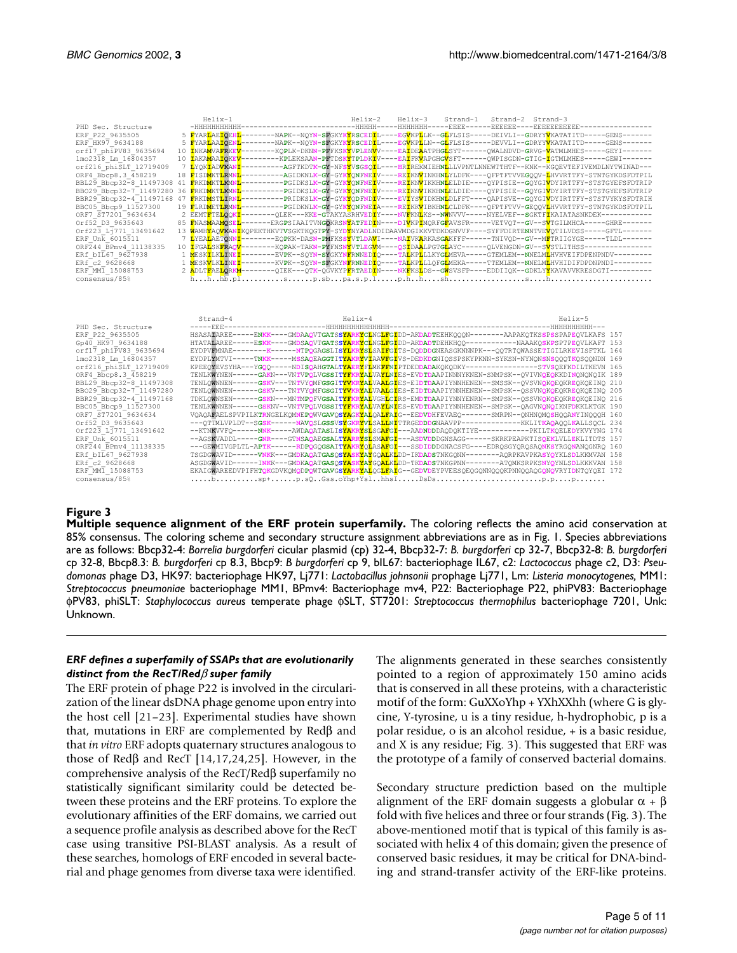|                                                                | Helix-1  |                                                                                                                                                                                                                   | Helix-2 Helix-3 Strand-1 Strand-2 Strand-3 |  |  |         |  |
|----------------------------------------------------------------|----------|-------------------------------------------------------------------------------------------------------------------------------------------------------------------------------------------------------------------|--------------------------------------------|--|--|---------|--|
| PHD Sec. Structure                                             |          |                                                                                                                                                                                                                   |                                            |  |  |         |  |
| ERF P22 9635505                                                |          | 5 FYAR <mark>LAEIOEHL</mark> --------NAPK--NOYN-SFGKYKYRSCED <mark>I</mark> L----EGVKPLLK--GLFLSIS-----DEIVLI--GDRYYVKATATITD-----GENS-------                                                                     |                                            |  |  |         |  |
| ERF HK97 9634188                                               |          | 5 FYARLAAIOENL--------NAPK--NOYN-SFGKYKYRSCEDIL----EGVKPLLN--GLFLSIS-----DEVVLI--GDRYYVKATATITD-----GENS-------                                                                                                   |                                            |  |  |         |  |
| orf17 phiPV83 9635694                                          |          | 10 <mark>I</mark> NKA <mark>M</mark> VAFRKEV--------KOPLK-DKNN-PFFKSKYVPLENVV----EAIDEAATPHGLSYT------OWALNDVD-GRVG-VATMLMHES-----GEYI-------                                                                     |                                            |  |  |         |  |
| $1 \text{m} \text{o} 23\overline{1}8$ Lm $16\overline{8}04357$ |          | 10 TAKA <mark>M</mark> AA <mark>IQKEV</mark> ---------KPLEKSAAN-PFTDSKYTPLDK <mark>I</mark> V----EA <mark>I</mark> FKVAPGHGVSFT------OWPISGDN-GTIG-IGTMLMHES-----GEWI-------                                      |                                            |  |  |         |  |
| orf216 phiSLT 12719409                                         |          | 7 <mark>L</mark> YOK <mark>IADVKANI----------AGFTKDTK-GY-NFSY</mark> VSGSO <mark>I</mark> L----HR <mark>I</mark> REKMIEHN <mark>L</mark> LLVPNTLNNEWTTHTF--KNK--KGOEVTEFIVEMDLNYTWINAD---                         |                                            |  |  |         |  |
| ORF4 Bbcp8.3 458219                                            |          | 18 <mark>F</mark> ISDMKTLRMNL---------AGIDKNLK-GY-GYKYONFNEIV----REIKNVINKHNLYLDFK----OFPTFTVVEGOOV-LHVVRTTFY-STNTGYKDSFDTPIL                                                                                     |                                            |  |  |         |  |
|                                                                |          | BBL29 Bbcp32-8 11497308 41 <mark>F</mark> RKD <mark>MKTLKMNL</mark> ---------PGIDKSLK-GY-GYKYONFNE <mark>I</mark> V----REIKNVIKKHN <mark>L</mark> ELDIE----OYPISIE--GOYGIVDYIRTTFY-STSTGYEFSFDTRIP                |                                            |  |  |         |  |
|                                                                |          | BB029 Bbcp32-7 11497280 36 <mark>F</mark> RKD <mark>M</mark> KT <mark>LKMNL</mark> ---------PGIDKSLK-GY-GYKYONFNE <mark>I</mark> V----REIKNVIKKHN <mark>L</mark> ELDIE----OYPISIE--GOYGIVDYIRTTFY-STSTGYEFSFDTRIP |                                            |  |  |         |  |
|                                                                |          | BBR29 Bbcp32-4 11497168 47 <mark>F</mark> RKDMSTLIRNL----------PRIDKSLK-GY-GYKYODFND <mark>I</mark> V----EVIYSVIDKHNLDLFFT----OAPISVE--GOYGIVDYIRTTFY-STSTVYKYSFDTRIH                                             |                                            |  |  |         |  |
| BBC05 Bbcp9 11527300                                           |          | 19 FLRDMETLRMNL----------PGIDKNLK-GY-GYKYONFNETA----RETKKVIBKHNLCLDFK----OFPTFTVV-GEOOVLHVVRTTFY-STNTGYKDSFDTPIL                                                                                                  |                                            |  |  |         |  |
| ORF7 ST7201 9634634                                            |          | 2 EEMT <mark>F</mark> TE <mark>LOOKI</mark> --------OLEK---KKE-GTAKYASRHVEDIY----NVFKNLKS--NWNVVV-----NYELVEF--SGKTF <mark>I</mark> KAIATASNKDEK-----------                                                       |                                            |  |  |         |  |
| $Orf5\overline{2}$ D3 9635643                                  |          | 85 FNAS <mark>M</mark> AA <mark>M</mark> QSEL------ERGPSIAAITVNGOKRSNYATFED <mark>I</mark> N----DIVKPIMORFG <mark>F</mark> AVSFR-----VETVOT--GV--SVTGILMHCA-----GHRE------                                        |                                            |  |  |         |  |
| Orf223 Lj771 13491642                                          |          | 13 WAMHYAOVKANIKOPEKTHKVTVSGKTKOGTPY-SYDYNYADLNDIDAAVMDGIKKVTDKDGNVVF----SYFFDIRTENNTVEVOTILVDSS-----GFTL------                                                                                                   |                                            |  |  |         |  |
| ERF Unk 6015511                                                |          | 7 LYEALAETONN <mark>I</mark> --------EOPKK-DASN-PMFKSS <mark>Y</mark> VTLDAVI----NAIVKARKASGAKFFF------TNIVOD--GV--MFTRIIGYGE-----TLDL-------                                                                     |                                            |  |  |         |  |
| ORF244 BPmv4 11138335                                          |          | 10 TFGALSKFRAQV--------KQPAK-TAKN-PYFNSNYVTLEGVM----QSTDAALPGTGLAYC------QLVENGDN-GV--SVSTLITHSS--------------                                                                                                    |                                            |  |  |         |  |
| ERf bIL67 9627938                                              |          | 1 <mark>M</mark> ESK <mark>I</mark> LKLINEI--------EVPK--SQYN-SYGKYN <mark>F</mark> RNNED <mark>I</mark> Q----TA <mark>L</mark> KPLLLKYGLMEVA-----GTEMLEM--NNELM <mark>L</mark> HVHVEIFDPENPNDV---------          |                                            |  |  |         |  |
| ERf c2 9628668                                                 |          | 1 MESK <mark>V</mark> LKLINEI--------KVPK--SOYN-SRGKYNFRNNEDIO----TALKPLLLOFGLMEKA-----TTEMLEM--NNELMLHVHIDIFDPDNPNDI--------                                                                                     |                                            |  |  |         |  |
| ERF MM1 15088753                                               |          | 2 ADLTFAELORKM--------OIEK---OTK-OGVKYPFRTAEDIN----NKFKSLDS--GWSVSFP----EDDIIOK--GDKLY <mark>Y</mark> KAVAVVKRESDGTI----------                                                                                    |                                            |  |  |         |  |
| consensus/85%                                                  |          |                                                                                                                                                                                                                   |                                            |  |  |         |  |
|                                                                |          |                                                                                                                                                                                                                   |                                            |  |  |         |  |
|                                                                |          |                                                                                                                                                                                                                   |                                            |  |  |         |  |
|                                                                |          |                                                                                                                                                                                                                   |                                            |  |  |         |  |
|                                                                |          |                                                                                                                                                                                                                   |                                            |  |  |         |  |
|                                                                | Strand-4 | $Helix-4$                                                                                                                                                                                                         |                                            |  |  | Helix-5 |  |

| PHD Sec. Structure      |  |                                                                                                                                              |
|-------------------------|--|----------------------------------------------------------------------------------------------------------------------------------------------|
| ERF P22 9635505         |  | HSASALAREE-----ENKK----GMDAAQVTGATSS <mark>YARKYCL</mark> NGLFGIDD-AKDADTEEHKQQQN--------AAPAKOTKSSPSSPAPEOVLKAFS 157                        |
| Gp40 HK97 9634188       |  | HTATALAREE-----E <b>SKK-----GMDSAQVTGATSS<mark>YARKY</mark>CL</b> NG <mark>LFGI</mark> DD-AKDADTDEHKHOO------------NAAAKOSKPSPTPEQVLKAFT 153 |
| orf17 phiPV83 9635694   |  | EYDPVEMNAE--------K------NTPOGAGSLIS <mark>YLKRYSL</mark> SAIFGITS-DODDDGNEASGKNNNPK---OOTRTOWASSETIGILRKEVISFTKL 164                        |
| lmo2318 Lm 16804357     |  | EYDPLYMTVI-----TNKK-----MSSAQEAGGTITYAKRYVIAAVFGIVS-DEDKDGNIOSSPSKYPKNN-SYKSN-NYNONSNSOOOTKOSOONDN 169                                       |
| orf216 phiSLT 12719409  |  | KPEEQMEVSYHA---YGOO-----NDISQAHGTALTYAERYFLMKFFNIPTDEDDADAKOKODKY---------------STVSQEFKDILTKEVN 165                                         |
| ORF4 Bbcp8.3 458219     |  | TENLKWYNEN------GAKN---VNTVPOLVGSSITYFKRYALVAYLNIES-EVDTDAAPINNNYKNEN-SNMPSK--QVIVNOEOKKDINONONQIK 189                                       |
| BBL29 Bbcp32-8 11497308 |  | TENLOWNNEN------GSKV---TNTVYOMFGSGITYVKRYALVAALGIES-EIDTDAAPIYNNHENEN--SMSSK--OVSVNOKOEOKREOKOEINO 210                                       |
| BB029 Bbcp32-7 11497280 |  | TENLOWNNEN------GSKV---TNTVYOMFGSGITYVKRYALVAALGIES-EIDTDAAPIYNNHENEN--SMPSK--OSSVNOKOEOKREOKOEINO 205                                       |
| BBR29 Bbcp32-4 11497168 |  | TDKLOWNSEN------GSKN---MNTMPOFVGSAITYFKRYALVGHLCIRS-EMDTDAAPIYNNYENRN--SMPSK--OSSVNOKOEOKREOKOEINO 216                                       |
| BBC05 Bbcp9 11527300    |  | TENLKWNNEN------GSKNV--VNTVPOLVGSSITYFKRYALVAYLNIES-EVDTDAAPIYNNHENEN--SMPSK--OAGVNONOIKNFDKKLKTGK 190                                       |
| ORF7 ST7201 9634634     |  | VOAOAFAELSPVPILKTRNGELKOMNEPOWVGAVOSYAGKYALOALFAIG--EEDVDHFEVAEO------SMRPN--ONHNOMOSHOOANYINOOOH 160                                        |
| Orf52 D3 9635643        |  | ---OTTMLVPLDT--SGSK------NAVOSLGSSVSYGKRYVLSALLNITTRGEDDDGNAAVPP-------------KKLITKAOAQQLKALLSQCL 234                                        |
| Orf223 Lj771 13491642   |  | --KTNKVVFO------NNK-----AWDAQATASLIS <mark>YA</mark> KRYSLSGAFGI---AADNDDDAQDQKTIYE-----------PKILTKQELEDYKVYYNG 174                         |
| ERF Unk 6015511         |  | --AGSKVADDL-----GNR----GTNSAQAEGSALTYARRYSLSMAFGI---ASDVDDDGNSAGG------SKRKPEAPKTISQEKLVLLEKLITDTS 157                                       |
| ORF244 BPmv4 11138335   |  | ---GEWMIVGPLTL-APTK------RDPOGOGSAITYAKRYOLASAFGI---SSDIDDDGNACSFG----EDROSGYOROSAONKSYRGONANOGNRO 160                                       |
| ERf bIL67 9627938       |  | TSGDGWAVID------VNKK---GMDKAOATGASOSYASKYAYGOALKLDD-IKDADSTNKGONN--------AORPKAVPKASYOYKLSDLKKMVAN 158                                       |
| ERf c2 9628668          |  | ASGDGWAVID------INKK---GMDKAQATGASOSYASKYAYGOALKLDD-TKDADSTNKGPNN--------ATOMKSRPKSNYQYNLSDLKKKVAN 158                                       |
| ERF MM1 15088753        |  | EKAIGWAREEDVPIFHTOKGDVKQMODPOWTGAVGS <mark>YARKYAL</mark> QGLFALG--GEDVDEYPVEESQEQGQNNQQQKPNNQQAQGONOVRYIDNTQYQEI 172                        |
| consensus/85%           |  |                                                                                                                                              |
|                         |  |                                                                                                                                              |

**Multiple sequence alignment of the ERF protein superfamily.** The coloring reflects the amino acid conservation at 85% consensus. The coloring scheme and secondary structure assignment abbreviations are as in Fig. [1.](#page-2-0) Species abbreviations are as follows: Bbcp32-4: *Borrelia burgdorferi* cicular plasmid (cp) 32-4, Bbcp32-7: *B. burgdorferi* cp 32-7, Bbcp32-8: *B. burgdorferi* cp 32-8, Bbcp8.3: *B. burgdorferi* cp 8.3, Bbcp9: *B burgdorferi* cp 9, bIL67: bacteriophage IL67, c2: *Lactococcus* phage c2, D3: *Pseudomonas* phage D3, HK97: bacteriophage HK97, Lj771: *Lactobacillus johnsonii* prophage Lj771, Lm: *Listeria monocytogenes,* MM1: *Streptococcus pneumoniae* bacteriophage MM1, BPmv4: Bacteriophage mv4, P22: Bacteriophage P22, phiPV83: Bacteriophage φPV83, phiSLT: *Staphylococcus aureus* temperate phage φSLT, ST7201: *Streptococcus thermophilus* bacteriophage 7201, Unk: Unknown.

## *ERF defines a superfamily of SSAPs that are evolutionarily distinct from the RecT/Red*β *super family*

The ERF protein of phage P22 is involved in the circularization of the linear dsDNA phage genome upon entry into the host cell [21–23]. Experimental studies have shown that, mutations in ERF are complemented by Redβ and that *in vitro* ERF adopts quaternary structures analogous to those of Redβ and RecT  $[14, 17, 24, 25]$ . However, in the comprehensive analysis of the RecT/Redβ superfamily no statistically significant similarity could be detected between these proteins and the ERF proteins. To explore the evolutionary affinities of the ERF domains, we carried out a sequence profile analysis as described above for the RecT case using transitive PSI-BLAST analysis. As a result of these searches, homologs of ERF encoded in several bacterial and phage genomes from diverse taxa were identified.

The alignments generated in these searches consistently pointed to a region of approximately 150 amino acids that is conserved in all these proteins, with a characteristic motif of the form: GuXXoYhp + YXhXXhh (where G is glycine, Y-tyrosine, u is a tiny residue, h-hydrophobic, p is a polar residue, o is an alcohol residue, + is a basic residue, and X is any residue; Fig. 3). This suggested that ERF was the prototype of a family of conserved bacterial domains.

Secondary structure prediction based on the multiple alignment of the ERF domain suggests a globular  $\alpha + \beta$ fold with five helices and three or four strands (Fig. 3). The above-mentioned motif that is typical of this family is associated with helix 4 of this domain; given the presence of conserved basic residues, it may be critical for DNA-binding and strand-transfer activity of the ERF-like proteins.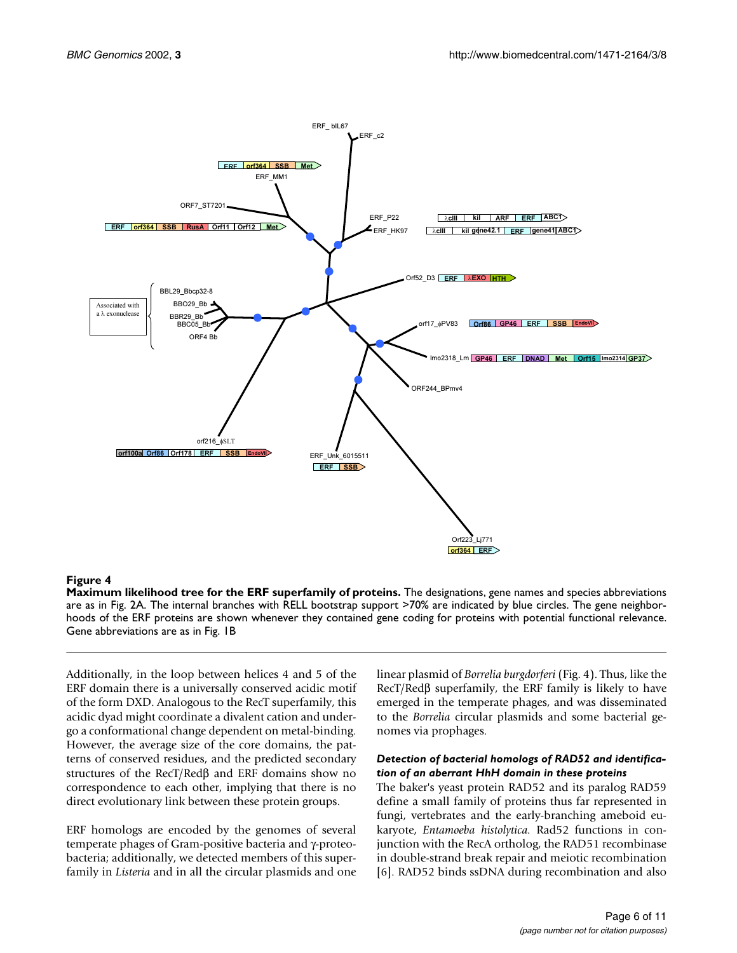

**Maximum likelihood tree for the ERF superfamily of proteins.** The designations, gene names and species abbreviations are as in Fig. 2A. The internal branches with RELL bootstrap support >70% are indicated by blue circles. The gene neighborhoods of the ERF proteins are shown whenever they contained gene coding for proteins with potential functional relevance. Gene abbreviations are as in Fig. [1B](#page-2-0)

Additionally, in the loop between helices 4 and 5 of the ERF domain there is a universally conserved acidic motif of the form DXD. Analogous to the RecT superfamily, this acidic dyad might coordinate a divalent cation and undergo a conformational change dependent on metal-binding. However, the average size of the core domains, the patterns of conserved residues, and the predicted secondary structures of the RecT/Redβ and ERF domains show no correspondence to each other, implying that there is no direct evolutionary link between these protein groups.

ERF homologs are encoded by the genomes of several temperate phages of Gram-positive bacteria and γ-proteobacteria; additionally, we detected members of this superfamily in *Listeria* and in all the circular plasmids and one linear plasmid of *Borrelia burgdorferi* (Fig. 4). Thus, like the RecT/Redβ superfamily, the ERF family is likely to have emerged in the temperate phages, and was disseminated to the *Borrelia* circular plasmids and some bacterial genomes via prophages.

#### *Detection of bacterial homologs of RAD52 and identification of an aberrant HhH domain in these proteins*

The baker's yeast protein RAD52 and its paralog RAD59 define a small family of proteins thus far represented in fungi, vertebrates and the early-branching ameboid eukaryote, *Entamoeba histolytica.* Rad52 functions in conjunction with the RecA ortholog, the RAD51 recombinase in double-strand break repair and meiotic recombination [6]. RAD52 binds ssDNA during recombination and also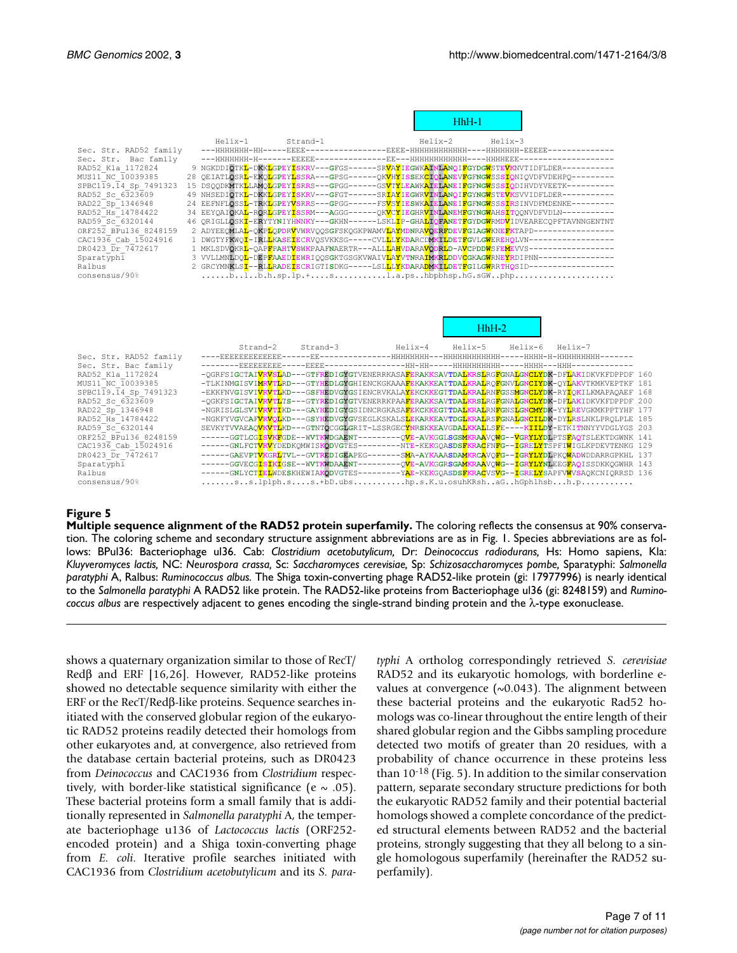

**Multiple sequence alignment of the RAD52 protein superfamily.** The coloring reflects the consensus at 90% conservation. The coloring scheme and secondary structure assignment abbreviations are as in Fig. [1.](#page-2-0) Species abbreviations are as follows: BPul36: Bacteriophage ul36. Cab: *Clostridium acetobutylicum,* Dr: *Deinococcus radiodurans,* Hs: Homo sapiens, Kla: *Kluyveromyces lactis,* NC: *Neurospora crassa,* Sc: *Saccharomyces cerevisiae,* Sp: *Schizosaccharomyces pombe,* Sparatyphi: *Salmonella paratyphi* A, Ralbus: *Ruminococcus albus.* The Shiga toxin-converting phage RAD52-like protein (gi: 17977996) is nearly identical to the *Salmonella paratyphi* A RAD52 like protein. The RAD52-like proteins from Bacteriophage ul36 (gi: 8248159) and *Ruminococcus albus* are respectively adjacent to genes encoding the single-strand binding protein and the λ-type exonuclease.

shows a quaternary organization similar to those of RecT/ Redβ and ERF [16,26]. However, RAD52-like proteins showed no detectable sequence similarity with either the ERF or the RecT/Redβ-like proteins. Sequence searches initiated with the conserved globular region of the eukaryotic RAD52 proteins readily detected their homologs from other eukaryotes and, at convergence, also retrieved from the database certain bacterial proteins, such as DR0423 from *Deinococcus* and CAC1936 from *Clostridium* respectively, with border-like statistical significance (e  $\sim$  .05). These bacterial proteins form a small family that is additionally represented in *Salmonella paratyphi* A, the temperate bacteriophage u136 of *Lactococcus lactis* (ORF252 encoded protein) and a Shiga toxin-converting phage from *E. coli*. Iterative profile searches initiated with CAC1936 from *Clostridium acetobutylicum* and its *S. para-* *typhi* A ortholog correspondingly retrieved *S. cerevisiae* RAD52 and its eukaryotic homologs, with borderline evalues at convergence  $(\sim 0.043)$ . The alignment between these bacterial proteins and the eukaryotic Rad52 homologs was co-linear throughout the entire length of their shared globular region and the Gibbs sampling procedure detected two motifs of greater than 20 residues, with a probability of chance occurrence in these proteins less than 10-18 (Fig. 5). In addition to the similar conservation pattern, separate secondary structure predictions for both the eukaryotic RAD52 family and their potential bacterial homologs showed a complete concordance of the predicted structural elements between RAD52 and the bacterial proteins, strongly suggesting that they all belong to a single homologous superfamily (hereinafter the RAD52 superfamily).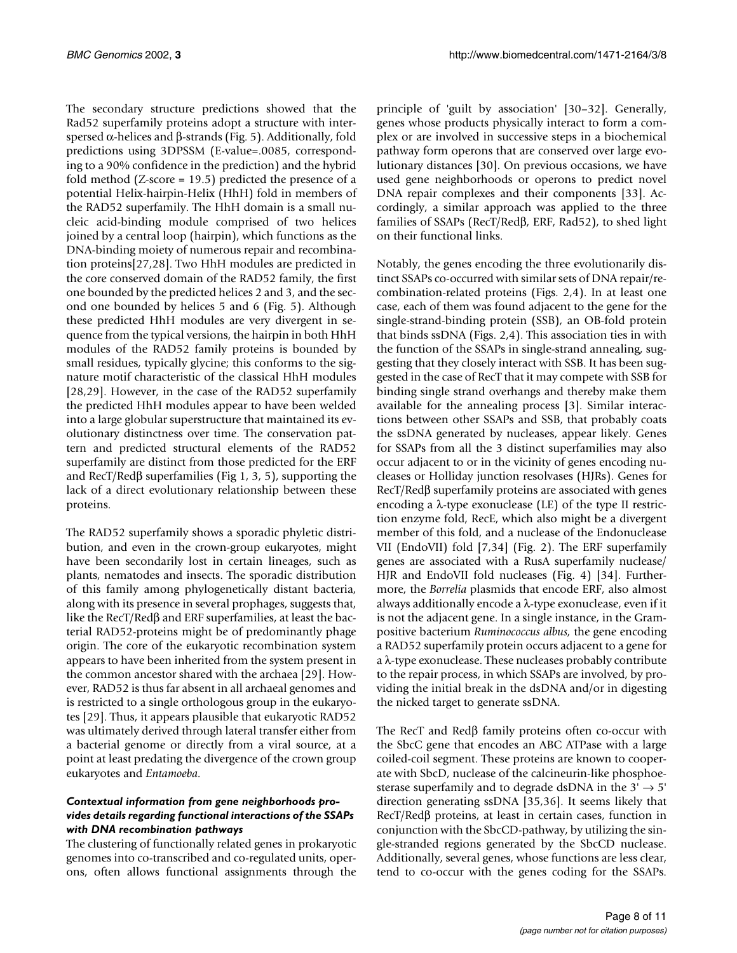The secondary structure predictions showed that the Rad52 superfamily proteins adopt a structure with interspersed α-helices and β-strands (Fig. 5). Additionally, fold predictions using 3DPSSM (E-value=.0085, corresponding to a 90% confidence in the prediction) and the hybrid fold method (Z-score = 19.5) predicted the presence of a potential Helix-hairpin-Helix (HhH) fold in members of the RAD52 superfamily. The HhH domain is a small nucleic acid-binding module comprised of two helices joined by a central loop (hairpin), which functions as the DNA-binding moiety of numerous repair and recombination proteins[27,28]. Two HhH modules are predicted in the core conserved domain of the RAD52 family, the first one bounded by the predicted helices 2 and 3, and the second one bounded by helices 5 and 6 (Fig. 5). Although these predicted HhH modules are very divergent in sequence from the typical versions, the hairpin in both HhH modules of the RAD52 family proteins is bounded by small residues, typically glycine; this conforms to the signature motif characteristic of the classical HhH modules [28,29]. However, in the case of the RAD52 superfamily the predicted HhH modules appear to have been welded into a large globular superstructure that maintained its evolutionary distinctness over time. The conservation pattern and predicted structural elements of the RAD52 superfamily are distinct from those predicted for the ERF and RecT/Redβ superfamilies (Fig [1](#page-2-0), 3, 5), supporting the lack of a direct evolutionary relationship between these proteins.

The RAD52 superfamily shows a sporadic phyletic distribution, and even in the crown-group eukaryotes, might have been secondarily lost in certain lineages, such as plants, nematodes and insects. The sporadic distribution of this family among phylogenetically distant bacteria, along with its presence in several prophages, suggests that, like the RecT/Redβ and ERF superfamilies, at least the bacterial RAD52-proteins might be of predominantly phage origin. The core of the eukaryotic recombination system appears to have been inherited from the system present in the common ancestor shared with the archaea [29]. However, RAD52 is thus far absent in all archaeal genomes and is restricted to a single orthologous group in the eukaryotes [29]. Thus, it appears plausible that eukaryotic RAD52 was ultimately derived through lateral transfer either from a bacterial genome or directly from a viral source, at a point at least predating the divergence of the crown group eukaryotes and *Entamoeba.*

## *Contextual information from gene neighborhoods provides details regarding functional interactions of the SSAPs with DNA recombination pathways*

The clustering of functionally related genes in prokaryotic genomes into co-transcribed and co-regulated units, operons, often allows functional assignments through the principle of 'guilt by association' [30–32]. Generally, genes whose products physically interact to form a complex or are involved in successive steps in a biochemical pathway form operons that are conserved over large evolutionary distances [30]. On previous occasions, we have used gene neighborhoods or operons to predict novel DNA repair complexes and their components [33]. Accordingly, a similar approach was applied to the three families of SSAPs (RecT/Redβ, ERF, Rad52), to shed light on their functional links.

Notably, the genes encoding the three evolutionarily distinct SSAPs co-occurred with similar sets of DNA repair/recombination-related proteins (Figs. 2,4). In at least one case, each of them was found adjacent to the gene for the single-strand-binding protein (SSB), an OB-fold protein that binds ssDNA (Figs. 2,4). This association ties in with the function of the SSAPs in single-strand annealing, suggesting that they closely interact with SSB. It has been suggested in the case of RecT that it may compete with SSB for binding single strand overhangs and thereby make them available for the annealing process [3]. Similar interactions between other SSAPs and SSB, that probably coats the ssDNA generated by nucleases, appear likely. Genes for SSAPs from all the 3 distinct superfamilies may also occur adjacent to or in the vicinity of genes encoding nucleases or Holliday junction resolvases (HJRs). Genes for RecT/Redβ superfamily proteins are associated with genes encoding a λ-type exonuclease (LE) of the type II restriction enzyme fold, RecE, which also might be a divergent member of this fold, and a nuclease of the Endonuclease VII (EndoVII) fold [7,34] (Fig. 2). The ERF superfamily genes are associated with a RusA superfamily nuclease/ HJR and EndoVII fold nucleases (Fig. 4) [34]. Furthermore, the *Borrelia* plasmids that encode ERF, also almost always additionally encode a λ-type exonuclease, even if it is not the adjacent gene. In a single instance, in the Grampositive bacterium *Ruminococcus albus,* the gene encoding a RAD52 superfamily protein occurs adjacent to a gene for a λ-type exonuclease. These nucleases probably contribute to the repair process, in which SSAPs are involved, by providing the initial break in the dsDNA and/or in digesting the nicked target to generate ssDNA.

The RecT and Redβ family proteins often co-occur with the SbcC gene that encodes an ABC ATPase with a large coiled-coil segment. These proteins are known to cooperate with SbcD, nuclease of the calcineurin-like phosphoesterase superfamily and to degrade dsDNA in the  $3' \rightarrow 5'$ direction generating ssDNA [35,36]. It seems likely that RecT/Redβ proteins, at least in certain cases, function in conjunction with the SbcCD-pathway, by utilizing the single-stranded regions generated by the SbcCD nuclease. Additionally, several genes, whose functions are less clear, tend to co-occur with the genes coding for the SSAPs.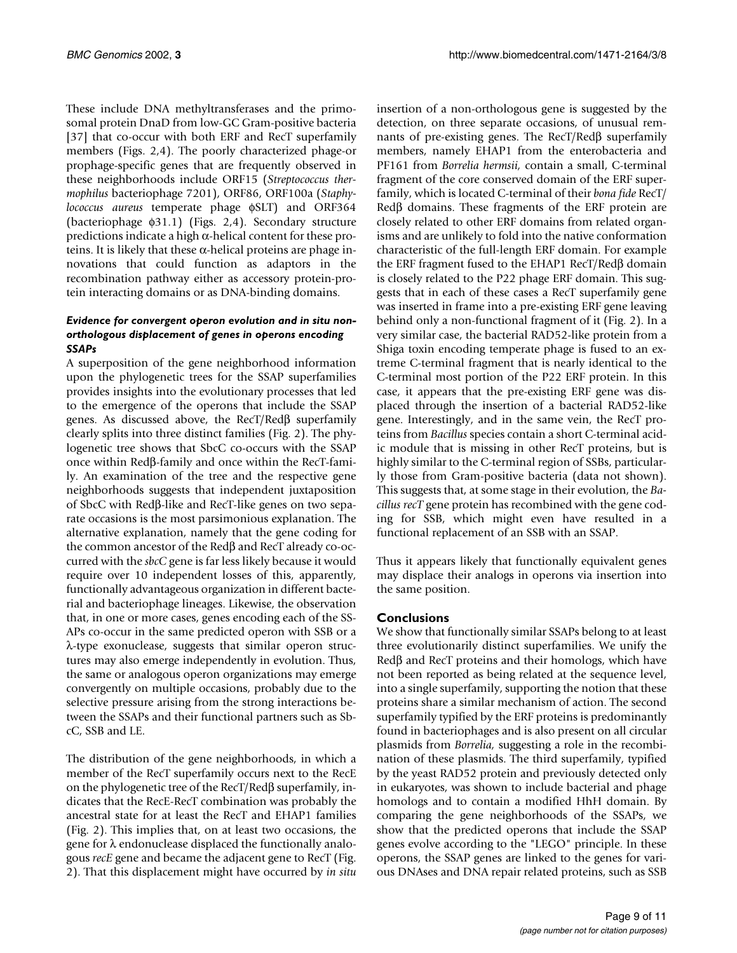These include DNA methyltransferases and the primosomal protein DnaD from low-GC Gram-positive bacteria [37] that co-occur with both ERF and RecT superfamily members (Figs. 2,4). The poorly characterized phage-or prophage-specific genes that are frequently observed in these neighborhoods include ORF15 (*Streptococcus thermophilus* bacteriophage 7201), ORF86, ORF100a (*Staphylococcus aureus* temperate phage φSLT) and ORF364 (bacteriophage φ31.1) (Figs. 2,4). Secondary structure predictions indicate a high α-helical content for these proteins. It is likely that these α-helical proteins are phage innovations that could function as adaptors in the recombination pathway either as accessory protein-protein interacting domains or as DNA-binding domains.

# *Evidence for convergent operon evolution and in situ nonorthologous displacement of genes in operons encoding SSAPs*

A superposition of the gene neighborhood information upon the phylogenetic trees for the SSAP superfamilies provides insights into the evolutionary processes that led to the emergence of the operons that include the SSAP genes. As discussed above, the RecT/Redβ superfamily clearly splits into three distinct families (Fig. 2). The phylogenetic tree shows that SbcC co-occurs with the SSAP once within Redβ-family and once within the RecT-family. An examination of the tree and the respective gene neighborhoods suggests that independent juxtaposition of SbcC with Redβ-like and RecT-like genes on two separate occasions is the most parsimonious explanation. The alternative explanation, namely that the gene coding for the common ancestor of the Redβ and RecT already co-occurred with the *sbcC* gene is far less likely because it would require over 10 independent losses of this, apparently, functionally advantageous organization in different bacterial and bacteriophage lineages. Likewise, the observation that, in one or more cases, genes encoding each of the SS-APs co-occur in the same predicted operon with SSB or a λ-type exonuclease, suggests that similar operon structures may also emerge independently in evolution. Thus, the same or analogous operon organizations may emerge convergently on multiple occasions, probably due to the selective pressure arising from the strong interactions between the SSAPs and their functional partners such as SbcC, SSB and LE.

The distribution of the gene neighborhoods, in which a member of the RecT superfamily occurs next to the RecE on the phylogenetic tree of the RecT/Redβ superfamily, indicates that the RecE-RecT combination was probably the ancestral state for at least the RecT and EHAP1 families (Fig. 2). This implies that, on at least two occasions, the gene for  $\lambda$  endonuclease displaced the functionally analogous *recE* gene and became the adjacent gene to RecT (Fig. 2). That this displacement might have occurred by *in situ*

insertion of a non-orthologous gene is suggested by the detection, on three separate occasions, of unusual remnants of pre-existing genes. The RecT/Redβ superfamily members, namely EHAP1 from the enterobacteria and PF161 from *Borrelia hermsii,* contain a small, C-terminal fragment of the core conserved domain of the ERF superfamily, which is located C-terminal of their *bona fide* RecT/ Redβ domains. These fragments of the ERF protein are closely related to other ERF domains from related organisms and are unlikely to fold into the native conformation characteristic of the full-length ERF domain. For example the ERF fragment fused to the EHAP1 RecT/Redβ domain is closely related to the P22 phage ERF domain. This suggests that in each of these cases a RecT superfamily gene was inserted in frame into a pre-existing ERF gene leaving behind only a non-functional fragment of it (Fig. 2). In a very similar case, the bacterial RAD52-like protein from a Shiga toxin encoding temperate phage is fused to an extreme C-terminal fragment that is nearly identical to the C-terminal most portion of the P22 ERF protein. In this case, it appears that the pre-existing ERF gene was displaced through the insertion of a bacterial RAD52-like gene. Interestingly, and in the same vein, the RecT proteins from *Bacillus* species contain a short C-terminal acidic module that is missing in other RecT proteins, but is highly similar to the C-terminal region of SSBs, particularly those from Gram-positive bacteria (data not shown). This suggests that, at some stage in their evolution, the *Bacillus recT* gene protein has recombined with the gene coding for SSB, which might even have resulted in a functional replacement of an SSB with an SSAP.

Thus it appears likely that functionally equivalent genes may displace their analogs in operons via insertion into the same position.

# **Conclusions**

We show that functionally similar SSAPs belong to at least three evolutionarily distinct superfamilies. We unify the Redβ and RecT proteins and their homologs, which have not been reported as being related at the sequence level, into a single superfamily, supporting the notion that these proteins share a similar mechanism of action. The second superfamily typified by the ERF proteins is predominantly found in bacteriophages and is also present on all circular plasmids from *Borrelia,* suggesting a role in the recombination of these plasmids. The third superfamily, typified by the yeast RAD52 protein and previously detected only in eukaryotes, was shown to include bacterial and phage homologs and to contain a modified HhH domain. By comparing the gene neighborhoods of the SSAPs, we show that the predicted operons that include the SSAP genes evolve according to the "LEGO" principle. In these operons, the SSAP genes are linked to the genes for various DNAses and DNA repair related proteins, such as SSB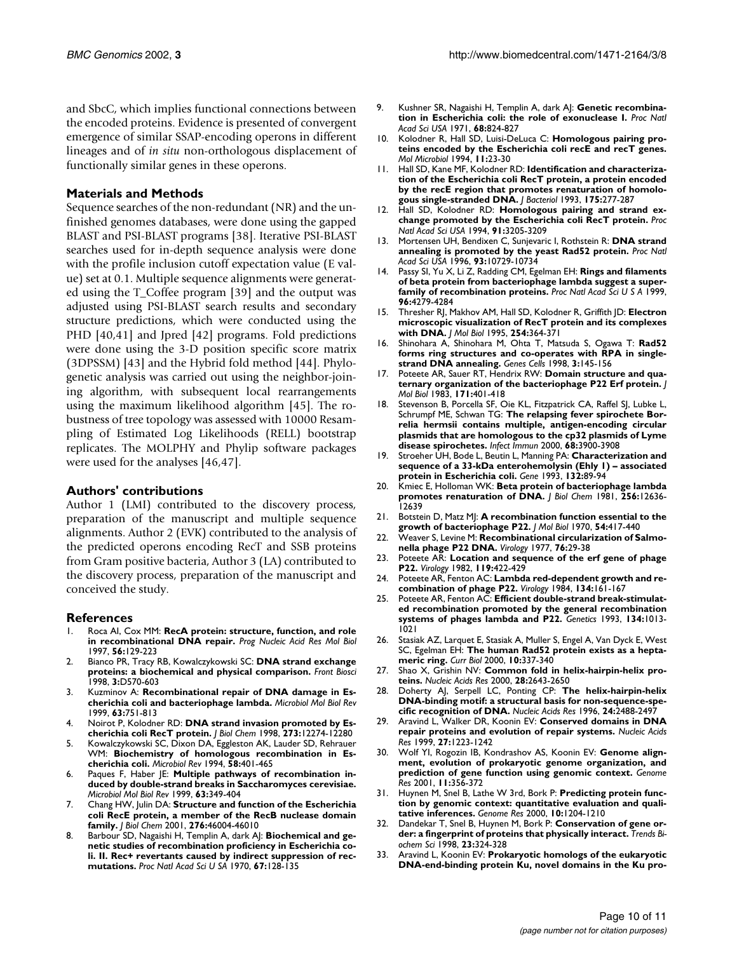and SbcC, which implies functional connections between the encoded proteins. Evidence is presented of convergent emergence of similar SSAP-encoding operons in different lineages and of *in situ* non-orthologous displacement of functionally similar genes in these operons.

## **Materials and Methods**

Sequence searches of the non-redundant (NR) and the unfinished genomes databases, were done using the gapped BLAST and PSI-BLAST programs [38]. Iterative PSI-BLAST searches used for in-depth sequence analysis were done with the profile inclusion cutoff expectation value (E value) set at 0.1. Multiple sequence alignments were generated using the T\_Coffee program [39] and the output was adjusted using PSI-BLAST search results and secondary structure predictions, which were conducted using the PHD [40,41] and Jpred [42] programs. Fold predictions were done using the 3-D position specific score matrix (3DPSSM) [43] and the Hybrid fold method [44]. Phylogenetic analysis was carried out using the neighbor-joining algorithm, with subsequent local rearrangements using the maximum likelihood algorithm [45]. The robustness of tree topology was assessed with 10000 Resampling of Estimated Log Likelihoods (RELL) bootstrap replicates. The MOLPHY and Phylip software packages were used for the analyses [46,47].

#### **Authors' contributions**

Author 1 (LMI) contributed to the discovery process, preparation of the manuscript and multiple sequence alignments. Author 2 (EVK) contributed to the analysis of the predicted operons encoding RecT and SSB proteins from Gram positive bacteria, Author 3 (LA) contributed to the discovery process, preparation of the manuscript and conceived the study.

#### **References**

- 1. [Roca AI, Cox MM:](http://www.ncbi.nlm.nih.gov/entrez/query.fcgi?cmd=Retrieve&db=PubMed&dopt=Abstract&list_uids=9187054) **RecA protein: structure, function, and role in recombinational DNA repair.** *Prog Nucleic Acid Res Mol Biol* 1997, **56:**129-223
- 2. [Bianco PR, Tracy RB, Kowalczykowski SC:](http://www.ncbi.nlm.nih.gov/entrez/query.fcgi?cmd=Retrieve&db=PubMed&dopt=Abstract&list_uids=9632377) **DNA strand exchange proteins: a biochemical and physical comparison.** *Front Biosci* 1998, **3:**D570-603
- 3. [Kuzminov A:](http://www.ncbi.nlm.nih.gov/entrez/query.fcgi?cmd=Retrieve&db=PubMed&dopt=Abstract&list_uids=10585965) **Recombinational repair of DNA damage in Escherichia coli and bacteriophage lambda.** *Microbiol Mol Biol Rev* 1999, **63:**751-813
- 4. [Noirot P, Kolodner RD:](http://www.ncbi.nlm.nih.gov/entrez/query.fcgi?cmd=Retrieve&db=PubMed&dopt=Abstract&list_uids=9575178) **DNA strand invasion promoted by Escherichia coli RecT protein.** *J Biol Chem* 1998, **273:**12274-12280
- 5. [Kowalczykowski SC, Dixon DA, Eggleston AK, Lauder SD, Rehrauer](http://www.ncbi.nlm.nih.gov/entrez/query.fcgi?cmd=Retrieve&db=PubMed&dopt=Abstract&list_uids=7968921) [WM:](http://www.ncbi.nlm.nih.gov/entrez/query.fcgi?cmd=Retrieve&db=PubMed&dopt=Abstract&list_uids=7968921) **Biochemistry of homologous recombination in Escherichia coli.** *Microbiol Rev* 1994, **58:**401-465
- 6. [Paques F, Haber JE:](http://www.ncbi.nlm.nih.gov/entrez/query.fcgi?cmd=Retrieve&db=PubMed&dopt=Abstract&list_uids=10357855) **Multiple pathways of recombination induced by double-strand breaks in Saccharomyces cerevisiae.** *Microbiol Mol Biol Rev* 1999, **63:**349-404
- 7. [Chang HW, Julin DA:](http://www.ncbi.nlm.nih.gov/entrez/query.fcgi?cmd=Retrieve&db=PubMed&dopt=Abstract&list_uids=11590160) **Structure and function of the Escherichia coli RecE protein, a member of the RecB nuclease domain family.** *J Biol Chem* 2001, **276:**46004-46010
- Barbour SD, Nagaishi H, Templin A, dark AJ: Biochemical and ge**netic studies of recombination proficiency in Escherichia coli. II. Rec+ revertants caused by indirect suppression of recmutations.** *Proc NatI Acad Sci U SA* 1970, **67:**128-135
- 9. Kushner SR, Nagaishi H, Templin A, dark AJ: **Genetic recombination in Escherichia coli: the role of exonuclease I.** *Proc NatI Acad Sci USA* 1971, **68:**824-827
- 10. [Kolodner R, Hall SD, Luisi-DeLuca C:](http://www.ncbi.nlm.nih.gov/entrez/query.fcgi?cmd=Retrieve&db=PubMed&dopt=Abstract&list_uids=8145642) **Homologous pairing proteins encoded by the Escherichia coli recE and recT genes.** *Mol Microbiol* 1994, **11:**23-30
- 11. [Hall SD, Kane MF, Kolodner RD:](http://www.ncbi.nlm.nih.gov/entrez/query.fcgi?cmd=Retrieve&db=PubMed&dopt=Abstract&list_uids=8416902) **Identification and characterization of the Escherichia coli RecT protein, a protein encoded by the recE region that promotes renaturation of homologous single-stranded DNA.** *J Bacteriol* 1993, **175:**277-287
- 12. [Hall SD, Kolodner RD:](http://www.ncbi.nlm.nih.gov/entrez/query.fcgi?cmd=Retrieve&db=PubMed&dopt=Abstract&list_uids=8159725) **Homologous pairing and strand exchange promoted by the Escherichia coli RecT protein.** *Proc Natl Acad Sci USA* 1994, **91:**3205-3209
- 13. [Mortensen UH, Bendixen C, Sunjevaric I, Rothstein R:](http://www.ncbi.nlm.nih.gov/entrez/query.fcgi?cmd=Retrieve&db=PubMed&dopt=Abstract&list_uids=8855248) **DNA strand annealing is promoted by the yeast Rad52 protein.** *Proc Natl Acad Sci USA* 1996, **93:**10729-10734
- 14. [Passy SI, Yu X, Li Z, Radding CM, Egelman EH:](http://www.ncbi.nlm.nih.gov/entrez/query.fcgi?cmd=Retrieve&db=PubMed&dopt=Abstract&list_uids=10200253) **Rings and filaments of beta protein from bacteriophage lambda suggest a superfamily of recombination proteins.** *Proc Natl Acad Sci U S A* 1999, **96:**4279-4284
- 15. [Thresher RJ, Makhov AM, Hall SD, Kolodner R, Griffith JD:](http://www.ncbi.nlm.nih.gov/entrez/query.fcgi?cmd=Retrieve&db=PubMed&dopt=Abstract&list_uids=7490755) **Electron microscopic visualization of RecT protein and its complexes with DNA.** *J Mol Biol* 1995, **254:**364-371
- 16. [Shinohara A, Shinohara M, Ohta T, Matsuda S, Ogawa T:](http://www.ncbi.nlm.nih.gov/entrez/query.fcgi?cmd=Retrieve&db=PubMed&dopt=Abstract&list_uids=9619627) **Rad52 forms ring structures and co-operates with RPA in singlestrand DNA annealing.** *Genes Cells* 1998, **3:**145-156
- 17. [Poteete AR, Sauer RT, Hendrix RW:](http://www.ncbi.nlm.nih.gov/entrez/query.fcgi?cmd=Retrieve&db=PubMed&dopt=Abstract&list_uids=6607360) **Domain structure and quaternary organization of the bacteriophage P22 Erf protein.** *J Mol Biol* 1983, **171:**401-418
- 18. [Stevenson B, Porcella SF, Oie KL, Fitzpatrick CA, Raffel SJ, Lubke L,](http://www.ncbi.nlm.nih.gov/entrez/query.fcgi?cmd=Retrieve&db=PubMed&dopt=Abstract&list_uids=10858201) [Schrumpf ME, Schwan TG:](http://www.ncbi.nlm.nih.gov/entrez/query.fcgi?cmd=Retrieve&db=PubMed&dopt=Abstract&list_uids=10858201) **The relapsing fever spirochete Borrelia hermsii contains multiple, antigen-encoding circular plasmids that are homologous to the cp32 plasmids of Lyme disease spirochetes.** *Infect Immun* 2000, **68:**3900-3908
- 19. [Stroeher UH, Bode L, Beutin L, Manning PA:](http://www.ncbi.nlm.nih.gov/entrez/query.fcgi?cmd=Retrieve&db=PubMed&dopt=Abstract&list_uids=7916718) **Characterization and sequence of a 33-kDa enterohemolysin (Ehly 1) – associated protein in Escherichia coli.** *Gene* 1993, **132:**89-94
- 20. [Kmiec E, Holloman WK:](http://www.ncbi.nlm.nih.gov/entrez/query.fcgi?cmd=Retrieve&db=PubMed&dopt=Abstract&list_uids=6273399) **Beta protein of bacteriophage lambda promotes renaturation of DNA.** *J Biol Chem* 1981, **256:**12636- 12639
- 21. [Botstein D, Matz MJ:](http://www.ncbi.nlm.nih.gov/entrez/query.fcgi?cmd=Retrieve&db=PubMed&dopt=Abstract&list_uids=4923667) **A recombination function essential to the growth of bacteriophage P22.** *J Mol Biol* 1970, **54:**417-440
- 22. [Weaver S, Levine M:](http://www.ncbi.nlm.nih.gov/entrez/query.fcgi?cmd=Retrieve&db=PubMed&dopt=Abstract&list_uids=319596) **Recombinational circularization of Salmonella phage P22 DNA.** *Virology* 1977, **76:**29-38
- 23. [Poteete AR:](http://www.ncbi.nlm.nih.gov/entrez/query.fcgi?cmd=Retrieve&db=PubMed&dopt=Abstract&list_uids=6210989) **Location and sequence of the erf gene of phage P22.** *Virology* 1982, **119:**422-429
- 24. [Poteete AR, Fenton AC:](http://www.ncbi.nlm.nih.gov/entrez/query.fcgi?cmd=Retrieve&db=PubMed&dopt=Abstract&list_uids=6231768) **Lambda red-dependent growth and recombination of phage P22.** *Virology* 1984, **134:**161-167
- 25. [Poteete AR, Fenton AC:](http://www.ncbi.nlm.nih.gov/entrez/query.fcgi?cmd=Retrieve&db=PubMed&dopt=Abstract&list_uids=8104156) **Efficient double-strand break-stimulated recombination promoted by the general recombination systems of phages lambda and P22.** *Genetics* 1993, **134:**1013- 1021
- 26. [Stasiak AZ, Larquet E, Stasiak A, Muller S, Engel A, Van Dyck E, West](http://www.ncbi.nlm.nih.gov/entrez/query.fcgi?cmd=Retrieve&db=PubMed&dopt=Abstract&list_uids=10744977) [SC, Egelman EH:](http://www.ncbi.nlm.nih.gov/entrez/query.fcgi?cmd=Retrieve&db=PubMed&dopt=Abstract&list_uids=10744977) **The human Rad52 protein exists as a heptameric ring.** *Curr Biol* 2000, **10:**337-340
- 27. [Shao X, Grishin NV:](http://www.ncbi.nlm.nih.gov/entrez/query.fcgi?cmd=Retrieve&db=PubMed&dopt=Abstract&list_uids=10908318) **Common fold in helix-hairpin-helix proteins.** *Nucleic Acids Res* 2000, **28:**2643-2650
- 28. [Doherty AJ, Serpell LC, Ponting CP:](http://www.ncbi.nlm.nih.gov/entrez/query.fcgi?cmd=Retrieve&db=PubMed&dopt=Abstract&list_uids=8692686) **The helix-hairpin-helix DNA-binding motif: a structural basis for non-sequence-specific recognition of DNA.** *Nucleic Acids Res* 1996, **24:**2488-2497
- 29. [Aravind L, Walker DR, Koonin EV:](http://www.ncbi.nlm.nih.gov/entrez/query.fcgi?cmd=Retrieve&db=PubMed&dopt=Abstract&list_uids=9973609) **Conserved domains in DNA repair proteins and evolution of repair systems.** *Nucleic Acids Res* 1999, **27:**1223-1242
- 30. [Wolf YI, Rogozin IB, Kondrashov AS, Koonin EV:](http://www.ncbi.nlm.nih.gov/entrez/query.fcgi?cmd=Retrieve&db=PubMed&dopt=Abstract&list_uids=11230160) **Genome alignment, evolution of prokaryotic genome organization, and prediction of gene function using genomic context.** *Genome Res* 2001, **11:**356-372
- 31. [Huynen M, Snel B, Lathe W 3rd, Bork P:](http://www.ncbi.nlm.nih.gov/entrez/query.fcgi?cmd=Retrieve&db=PubMed&dopt=Abstract&list_uids=10958638) **Predicting protein function by genomic context: quantitative evaluation and qualitative inferences.** *Genome Res* 2000, **10:**1204-1210
- 32. [Dandekar T, Snel B, Huynen M, Bork P:](http://www.ncbi.nlm.nih.gov/entrez/query.fcgi?cmd=Retrieve&db=PubMed&dopt=Abstract&list_uids=9787636) **Conservation of gene order: a fingerprint of proteins that physically interact.** *Trends Biochem Sci* 1998, **23:**324-328
- 33. [Aravind L, Koonin EV:](http://www.ncbi.nlm.nih.gov/entrez/query.fcgi?cmd=Retrieve&db=PubMed&dopt=Abstract&list_uids=11483577) **Prokaryotic homologs of the eukaryotic DNA-end-binding protein Ku, novel domains in the Ku pro-**